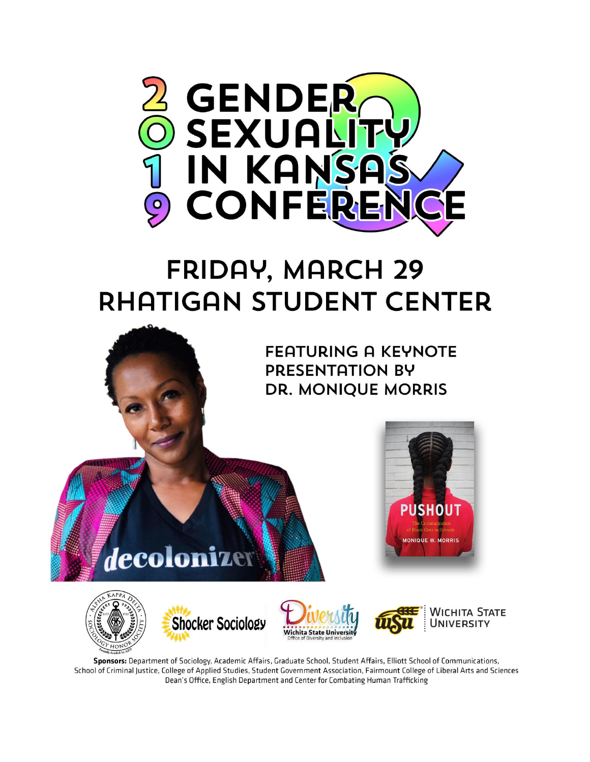

# **FRIDAY, MARCH 29 RHATIGAN STUDENT CENTER**

**FEATURING A KEYNOTE PRESENTATION BY DR. MONIQUE MORRIS** 





decolonizer







**PUSHOUT** 

**JONIQUE W. MORE** 

Sponsors: Department of Sociology, Academic Affairs, Graduate School, Student Affairs, Elliott School of Communications, School of Criminal Justice, College of Applied Studies, Student Government Association, Fairmount College of Liberal Arts and Sciences Dean's Office, English Department and Center for Combating Human Trafficking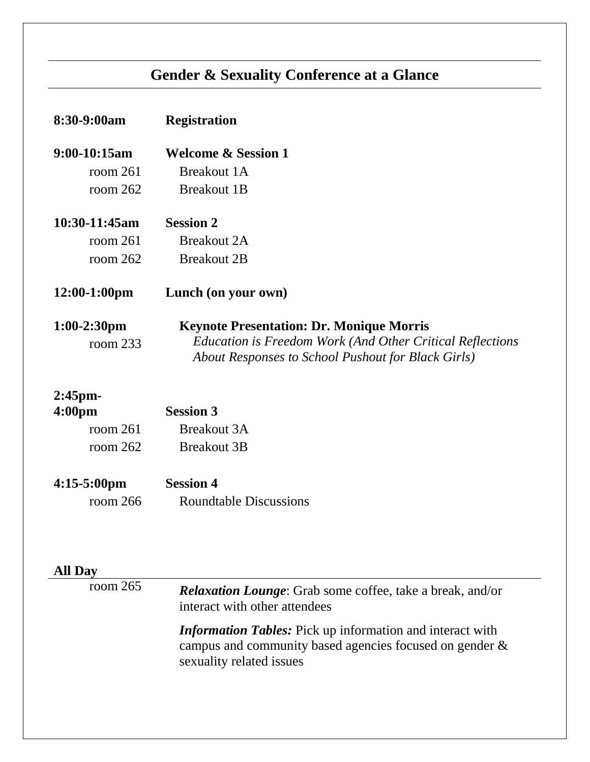## **Gender & Sexuality Conference at a Glance**

| 8:30-9:00am                      | <b>Registration</b>                                                                                                                                                |
|----------------------------------|--------------------------------------------------------------------------------------------------------------------------------------------------------------------|
| 9:00-10:15am                     | <b>Welcome &amp; Session 1</b>                                                                                                                                     |
| room $261$                       | <b>Breakout 1A</b>                                                                                                                                                 |
| room 262                         | <b>Breakout 1B</b>                                                                                                                                                 |
| 10:30-11:45am                    | <b>Session 2</b>                                                                                                                                                   |
| room $261$                       | <b>Breakout 2A</b>                                                                                                                                                 |
| room $262$                       | <b>Breakout 2B</b>                                                                                                                                                 |
| 12:00-1:00pm                     | Lunch (on your own)                                                                                                                                                |
| $1:00-2:30$ pm<br>room $233$     | <b>Keynote Presentation: Dr. Monique Morris</b><br>Education is Freedom Work (And Other Critical Reflections<br>About Responses to School Pushout for Black Girls) |
| $2:45$ pm-<br>4:00 <sub>pm</sub> | <b>Session 3</b>                                                                                                                                                   |
| room $261$                       | <b>Breakout 3A</b>                                                                                                                                                 |
| room $262$                       | <b>Breakout 3B</b>                                                                                                                                                 |
| $4:15-5:00$ pm                   | <b>Session 4</b>                                                                                                                                                   |
| room $266$                       | <b>Roundtable Discussions</b>                                                                                                                                      |
|                                  |                                                                                                                                                                    |
|                                  |                                                                                                                                                                    |

| All Day    |                                                                                                                                                            |
|------------|------------------------------------------------------------------------------------------------------------------------------------------------------------|
| room $265$ | <b>Relaxation Lounge:</b> Grab some coffee, take a break, and/or<br>interact with other attendees                                                          |
|            | <b>Information Tables:</b> Pick up information and interact with<br>campus and community based agencies focused on gender $\&$<br>sexuality related issues |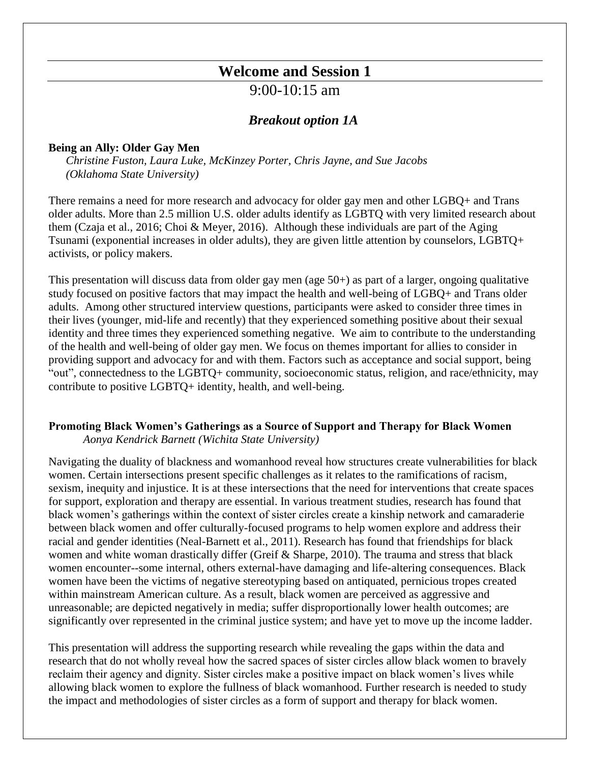## **Welcome and Session 1**

9:00-10:15 am

#### *Breakout option 1A*

#### **Being an Ally: Older Gay Men**

*Christine Fuston, Laura Luke, McKinzey Porter, Chris Jayne, and Sue Jacobs (Oklahoma State University)*

There remains a need for more research and advocacy for older gay men and other LGBQ+ and Trans older adults. More than 2.5 million U.S. older adults identify as LGBTQ with very limited research about them (Czaja et al., 2016; Choi & Meyer, 2016). Although these individuals are part of the Aging Tsunami (exponential increases in older adults), they are given little attention by counselors, LGBTQ+ activists, or policy makers.

This presentation will discuss data from older gay men (age 50+) as part of a larger, ongoing qualitative study focused on positive factors that may impact the health and well-being of LGBQ+ and Trans older adults. Among other structured interview questions, participants were asked to consider three times in their lives (younger, mid-life and recently) that they experienced something positive about their sexual identity and three times they experienced something negative. We aim to contribute to the understanding of the health and well-being of older gay men. We focus on themes important for allies to consider in providing support and advocacy for and with them. Factors such as acceptance and social support, being "out", connectedness to the LGBTQ+ community, socioeconomic status, religion, and race/ethnicity, may contribute to positive LGBTQ+ identity, health, and well-being.

#### **Promoting Black Women's Gatherings as a Source of Support and Therapy for Black Women** *Aonya Kendrick Barnett (Wichita State University)*

Navigating the duality of blackness and womanhood reveal how structures create vulnerabilities for black women. Certain intersections present specific challenges as it relates to the ramifications of racism, sexism, inequity and injustice. It is at these intersections that the need for interventions that create spaces for support, exploration and therapy are essential. In various treatment studies, research has found that black women's gatherings within the context of sister circles create a kinship network and camaraderie between black women and offer culturally-focused programs to help women explore and address their racial and gender identities (Neal-Barnett et al., 2011). Research has found that friendships for black women and white woman drastically differ (Greif & Sharpe, 2010). The trauma and stress that black women encounter--some internal, others external-have damaging and life-altering consequences. Black women have been the victims of negative stereotyping based on antiquated, pernicious tropes created within mainstream American culture. As a result, black women are perceived as aggressive and unreasonable; are depicted negatively in media; suffer disproportionally lower health outcomes; are significantly over represented in the criminal justice system; and have yet to move up the income ladder.

This presentation will address the supporting research while revealing the gaps within the data and research that do not wholly reveal how the sacred spaces of sister circles allow black women to bravely reclaim their agency and dignity. Sister circles make a positive impact on black women's lives while allowing black women to explore the fullness of black womanhood. Further research is needed to study the impact and methodologies of sister circles as a form of support and therapy for black women.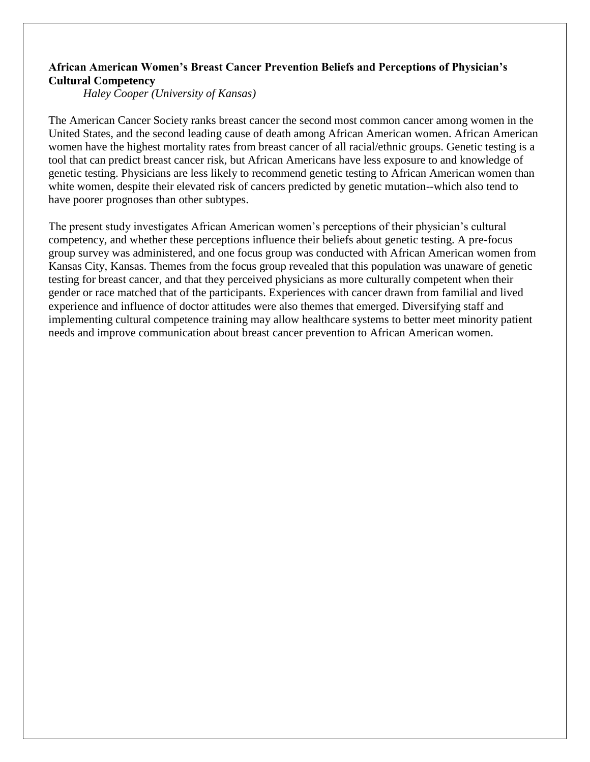#### **African American Women's Breast Cancer Prevention Beliefs and Perceptions of Physician's Cultural Competency**

*Haley Cooper (University of Kansas)*

The American Cancer Society ranks breast cancer the second most common cancer among women in the United States, and the second leading cause of death among African American women. African American women have the highest mortality rates from breast cancer of all racial/ethnic groups. Genetic testing is a tool that can predict breast cancer risk, but African Americans have less exposure to and knowledge of genetic testing. Physicians are less likely to recommend genetic testing to African American women than white women, despite their elevated risk of cancers predicted by genetic mutation--which also tend to have poorer prognoses than other subtypes.

The present study investigates African American women's perceptions of their physician's cultural competency, and whether these perceptions influence their beliefs about genetic testing. A pre-focus group survey was administered, and one focus group was conducted with African American women from Kansas City, Kansas. Themes from the focus group revealed that this population was unaware of genetic testing for breast cancer, and that they perceived physicians as more culturally competent when their gender or race matched that of the participants. Experiences with cancer drawn from familial and lived experience and influence of doctor attitudes were also themes that emerged. Diversifying staff and implementing cultural competence training may allow healthcare systems to better meet minority patient needs and improve communication about breast cancer prevention to African American women.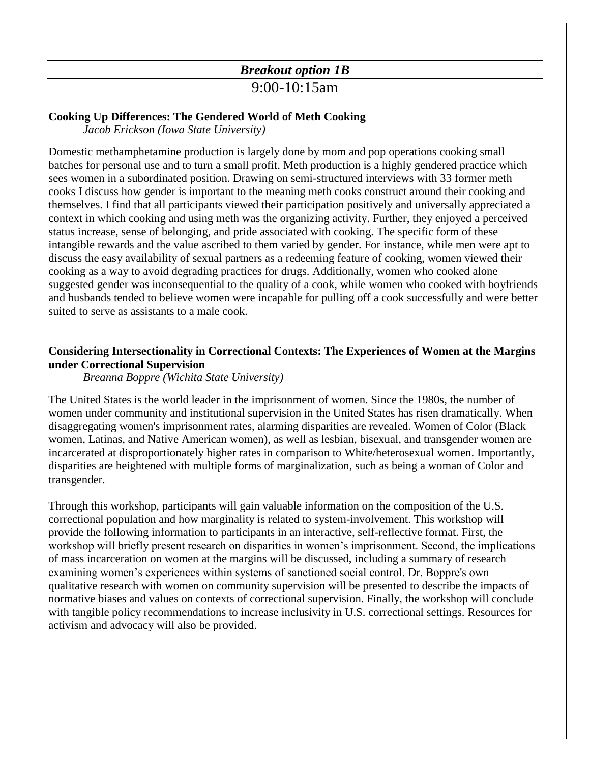### *Breakout option 1B*

#### 9:00-10:15am

#### **Cooking Up Differences: The Gendered World of Meth Cooking**

*Jacob Erickson (Iowa State University)*

Domestic methamphetamine production is largely done by mom and pop operations cooking small batches for personal use and to turn a small profit. Meth production is a highly gendered practice which sees women in a subordinated position. Drawing on semi-structured interviews with 33 former meth cooks I discuss how gender is important to the meaning meth cooks construct around their cooking and themselves. I find that all participants viewed their participation positively and universally appreciated a context in which cooking and using meth was the organizing activity. Further, they enjoyed a perceived status increase, sense of belonging, and pride associated with cooking. The specific form of these intangible rewards and the value ascribed to them varied by gender. For instance, while men were apt to discuss the easy availability of sexual partners as a redeeming feature of cooking, women viewed their cooking as a way to avoid degrading practices for drugs. Additionally, women who cooked alone suggested gender was inconsequential to the quality of a cook, while women who cooked with boyfriends and husbands tended to believe women were incapable for pulling off a cook successfully and were better suited to serve as assistants to a male cook.

#### **Considering Intersectionality in Correctional Contexts: The Experiences of Women at the Margins under Correctional Supervision**

#### *Breanna Boppre (Wichita State University)*

The United States is the world leader in the imprisonment of women. Since the 1980s, the number of women under community and institutional supervision in the United States has risen dramatically. When disaggregating women's imprisonment rates, alarming disparities are revealed. Women of Color (Black women, Latinas, and Native American women), as well as lesbian, bisexual, and transgender women are incarcerated at disproportionately higher rates in comparison to White/heterosexual women. Importantly, disparities are heightened with multiple forms of marginalization, such as being a woman of Color and transgender.

Through this workshop, participants will gain valuable information on the composition of the U.S. correctional population and how marginality is related to system-involvement. This workshop will provide the following information to participants in an interactive, self-reflective format. First, the workshop will briefly present research on disparities in women's imprisonment. Second, the implications of mass incarceration on women at the margins will be discussed, including a summary of research examining women's experiences within systems of sanctioned social control. Dr. Boppre's own qualitative research with women on community supervision will be presented to describe the impacts of normative biases and values on contexts of correctional supervision. Finally, the workshop will conclude with tangible policy recommendations to increase inclusivity in U.S. correctional settings. Resources for activism and advocacy will also be provided.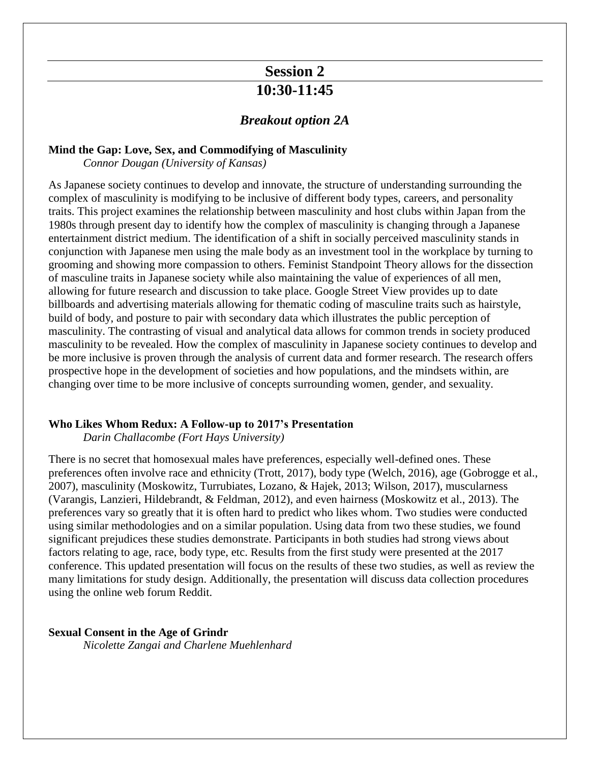## **Session 2 10:30-11:45**

#### *Breakout option 2A*

#### **Mind the Gap: Love, Sex, and Commodifying of Masculinity**

*Connor Dougan (University of Kansas)*

As Japanese society continues to develop and innovate, the structure of understanding surrounding the complex of masculinity is modifying to be inclusive of different body types, careers, and personality traits. This project examines the relationship between masculinity and host clubs within Japan from the 1980s through present day to identify how the complex of masculinity is changing through a Japanese entertainment district medium. The identification of a shift in socially perceived masculinity stands in conjunction with Japanese men using the male body as an investment tool in the workplace by turning to grooming and showing more compassion to others. Feminist Standpoint Theory allows for the dissection of masculine traits in Japanese society while also maintaining the value of experiences of all men, allowing for future research and discussion to take place. Google Street View provides up to date billboards and advertising materials allowing for thematic coding of masculine traits such as hairstyle, build of body, and posture to pair with secondary data which illustrates the public perception of masculinity. The contrasting of visual and analytical data allows for common trends in society produced masculinity to be revealed. How the complex of masculinity in Japanese society continues to develop and be more inclusive is proven through the analysis of current data and former research. The research offers prospective hope in the development of societies and how populations, and the mindsets within, are changing over time to be more inclusive of concepts surrounding women, gender, and sexuality.

#### **Who Likes Whom Redux: A Follow-up to 2017's Presentation**

*Darin Challacombe (Fort Hays University)*

There is no secret that homosexual males have preferences, especially well-defined ones. These preferences often involve race and ethnicity (Trott, 2017), body type (Welch, 2016), age (Gobrogge et al., 2007), masculinity (Moskowitz, Turrubiates, Lozano, & Hajek, 2013; Wilson, 2017), muscularness (Varangis, Lanzieri, Hildebrandt, & Feldman, 2012), and even hairness (Moskowitz et al., 2013). The preferences vary so greatly that it is often hard to predict who likes whom. Two studies were conducted using similar methodologies and on a similar population. Using data from two these studies, we found significant prejudices these studies demonstrate. Participants in both studies had strong views about factors relating to age, race, body type, etc. Results from the first study were presented at the 2017 conference. This updated presentation will focus on the results of these two studies, as well as review the many limitations for study design. Additionally, the presentation will discuss data collection procedures using the online web forum Reddit.

#### **Sexual Consent in the Age of Grindr**

*Nicolette Zangai and Charlene Muehlenhard*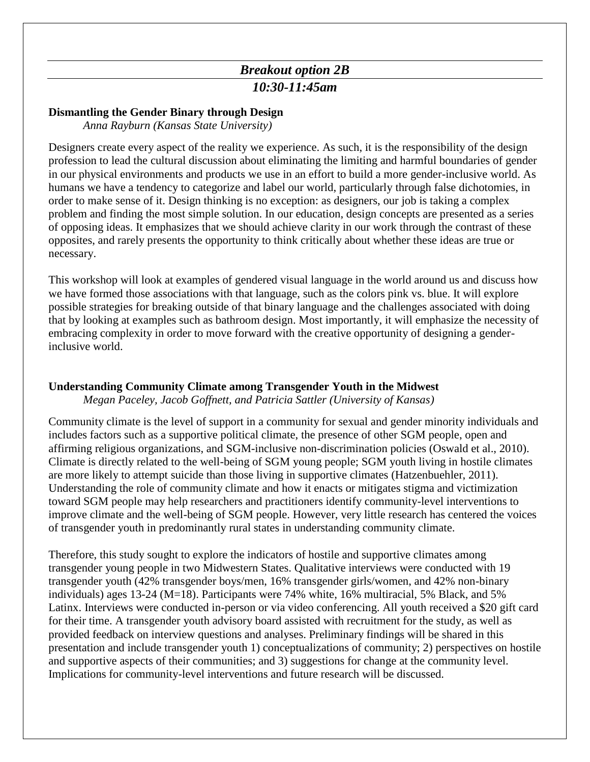### *Breakout option 2B 10:30-11:45am*

#### **Dismantling the Gender Binary through Design**

*Anna Rayburn (Kansas State University)*

Designers create every aspect of the reality we experience. As such, it is the responsibility of the design profession to lead the cultural discussion about eliminating the limiting and harmful boundaries of gender in our physical environments and products we use in an effort to build a more gender-inclusive world. As humans we have a tendency to categorize and label our world, particularly through false dichotomies, in order to make sense of it. Design thinking is no exception: as designers, our job is taking a complex problem and finding the most simple solution. In our education, design concepts are presented as a series of opposing ideas. It emphasizes that we should achieve clarity in our work through the contrast of these opposites, and rarely presents the opportunity to think critically about whether these ideas are true or necessary.

This workshop will look at examples of gendered visual language in the world around us and discuss how we have formed those associations with that language, such as the colors pink vs. blue. It will explore possible strategies for breaking outside of that binary language and the challenges associated with doing that by looking at examples such as bathroom design. Most importantly, it will emphasize the necessity of embracing complexity in order to move forward with the creative opportunity of designing a genderinclusive world.

#### **Understanding Community Climate among Transgender Youth in the Midwest**

*Megan Paceley, Jacob Goffnett, and Patricia Sattler (University of Kansas)*

Community climate is the level of support in a community for sexual and gender minority individuals and includes factors such as a supportive political climate, the presence of other SGM people, open and affirming religious organizations, and SGM-inclusive non-discrimination policies (Oswald et al., 2010). Climate is directly related to the well-being of SGM young people; SGM youth living in hostile climates are more likely to attempt suicide than those living in supportive climates (Hatzenbuehler, 2011). Understanding the role of community climate and how it enacts or mitigates stigma and victimization toward SGM people may help researchers and practitioners identify community-level interventions to improve climate and the well-being of SGM people. However, very little research has centered the voices of transgender youth in predominantly rural states in understanding community climate.

Therefore, this study sought to explore the indicators of hostile and supportive climates among transgender young people in two Midwestern States. Qualitative interviews were conducted with 19 transgender youth (42% transgender boys/men, 16% transgender girls/women, and 42% non-binary individuals) ages 13-24 (M=18). Participants were 74% white, 16% multiracial, 5% Black, and 5% Latinx. Interviews were conducted in-person or via video conferencing. All youth received a \$20 gift card for their time. A transgender youth advisory board assisted with recruitment for the study, as well as provided feedback on interview questions and analyses. Preliminary findings will be shared in this presentation and include transgender youth 1) conceptualizations of community; 2) perspectives on hostile and supportive aspects of their communities; and 3) suggestions for change at the community level. Implications for community-level interventions and future research will be discussed.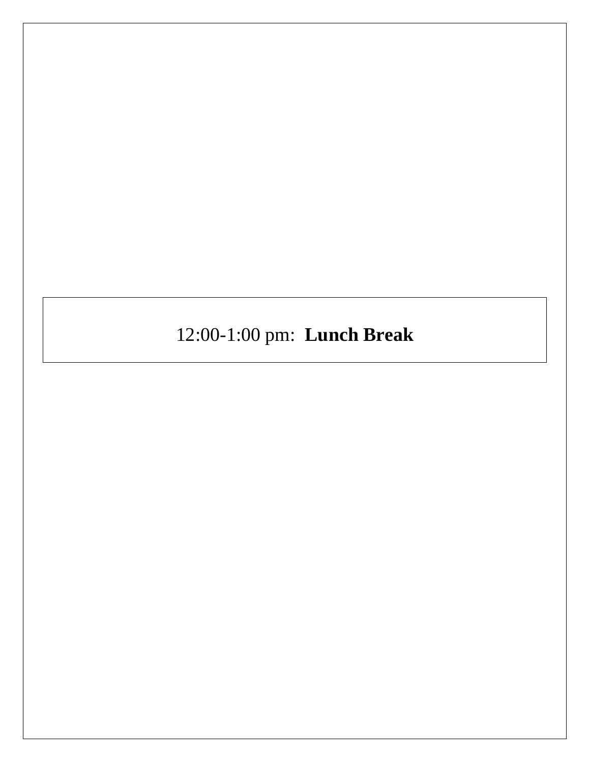12:00-1:00 pm: **Lunch Break**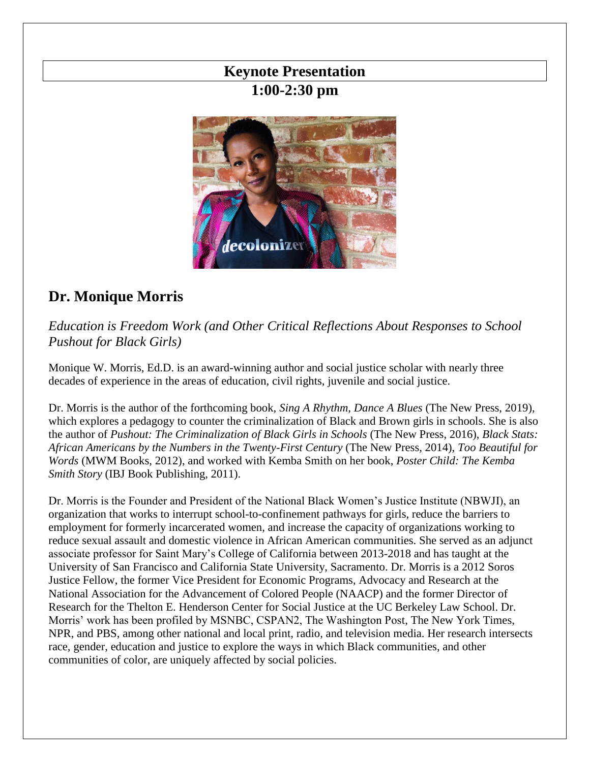## **Keynote Presentation 1:00-2:30 pm**



## **Dr. Monique Morris**

*Education is Freedom Work (and Other Critical Reflections About Responses to School Pushout for Black Girls)*

Monique W. Morris, Ed.D. is an award-winning author and social justice scholar with nearly three decades of experience in the areas of education, civil rights, juvenile and social justice.

Dr. Morris is the author of the forthcoming book, *Sing A Rhythm, Dance A Blues* (The New Press, 2019), which explores a pedagogy to counter the criminalization of Black and Brown girls in schools. She is also the author of *Pushout: The Criminalization of Black Girls in Schools* (The New Press, 2016), *Black Stats: African Americans by the Numbers in the Twenty-First Century* (The New Press, 2014), *Too Beautiful for Words* (MWM Books, 2012), and worked with Kemba Smith on her book, *Poster Child: The Kemba Smith Story* (IBJ Book Publishing, 2011).

Dr. Morris is the Founder and President of the National Black Women's Justice Institute (NBWJI), an organization that works to interrupt school-to-confinement pathways for girls, reduce the barriers to employment for formerly incarcerated women, and increase the capacity of organizations working to reduce sexual assault and domestic violence in African American communities. She served as an adjunct associate professor for Saint Mary's College of California between 2013-2018 and has taught at the University of San Francisco and California State University, Sacramento. Dr. Morris is a 2012 Soros Justice Fellow, the former Vice President for Economic Programs, Advocacy and Research at the National Association for the Advancement of Colored People (NAACP) and the former Director of Research for the Thelton E. Henderson Center for Social Justice at the UC Berkeley Law School. Dr. Morris' work has been profiled by MSNBC, CSPAN2, The Washington Post, The New York Times, NPR, and PBS, among other national and local print, radio, and television media. Her research intersects race, gender, education and justice to explore the ways in which Black communities, and other communities of color, are uniquely affected by social policies.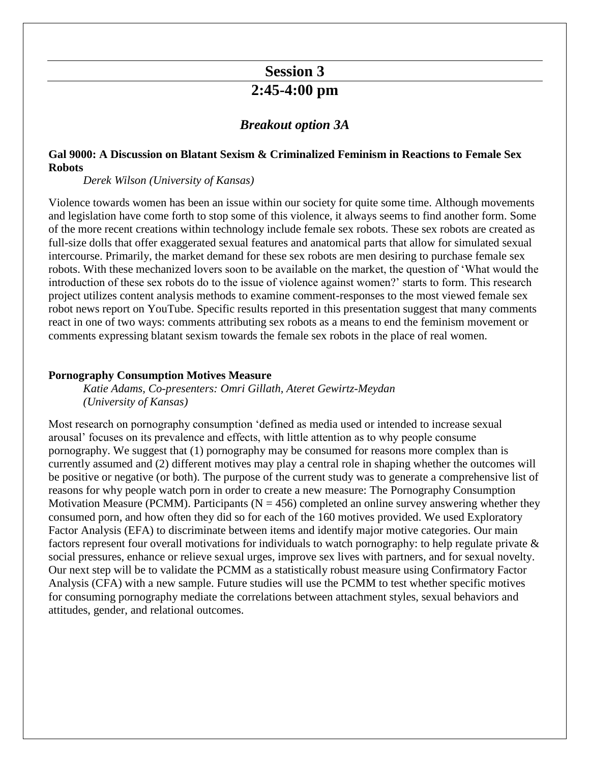## **Session 3 2:45-4:00 pm**

#### *Breakout option 3A*

#### **Gal 9000: A Discussion on Blatant Sexism & Criminalized Feminism in Reactions to Female Sex Robots**

*Derek Wilson (University of Kansas)*

Violence towards women has been an issue within our society for quite some time. Although movements and legislation have come forth to stop some of this violence, it always seems to find another form. Some of the more recent creations within technology include female sex robots. These sex robots are created as full-size dolls that offer exaggerated sexual features and anatomical parts that allow for simulated sexual intercourse. Primarily, the market demand for these sex robots are men desiring to purchase female sex robots. With these mechanized lovers soon to be available on the market, the question of 'What would the introduction of these sex robots do to the issue of violence against women?' starts to form. This research project utilizes content analysis methods to examine comment-responses to the most viewed female sex robot news report on YouTube. Specific results reported in this presentation suggest that many comments react in one of two ways: comments attributing sex robots as a means to end the feminism movement or comments expressing blatant sexism towards the female sex robots in the place of real women.

#### **Pornography Consumption Motives Measure**

*Katie Adams, Co-presenters: Omri Gillath, Ateret Gewirtz-Meydan (University of Kansas)*

Most research on pornography consumption 'defined as media used or intended to increase sexual arousal' focuses on its prevalence and effects, with little attention as to why people consume pornography. We suggest that (1) pornography may be consumed for reasons more complex than is currently assumed and (2) different motives may play a central role in shaping whether the outcomes will be positive or negative (or both). The purpose of the current study was to generate a comprehensive list of reasons for why people watch porn in order to create a new measure: The Pornography Consumption Motivation Measure (PCMM). Participants ( $N = 456$ ) completed an online survey answering whether they consumed porn, and how often they did so for each of the 160 motives provided. We used Exploratory Factor Analysis (EFA) to discriminate between items and identify major motive categories. Our main factors represent four overall motivations for individuals to watch pornography: to help regulate private & social pressures, enhance or relieve sexual urges, improve sex lives with partners, and for sexual novelty. Our next step will be to validate the PCMM as a statistically robust measure using Confirmatory Factor Analysis (CFA) with a new sample. Future studies will use the PCMM to test whether specific motives for consuming pornography mediate the correlations between attachment styles, sexual behaviors and attitudes, gender, and relational outcomes.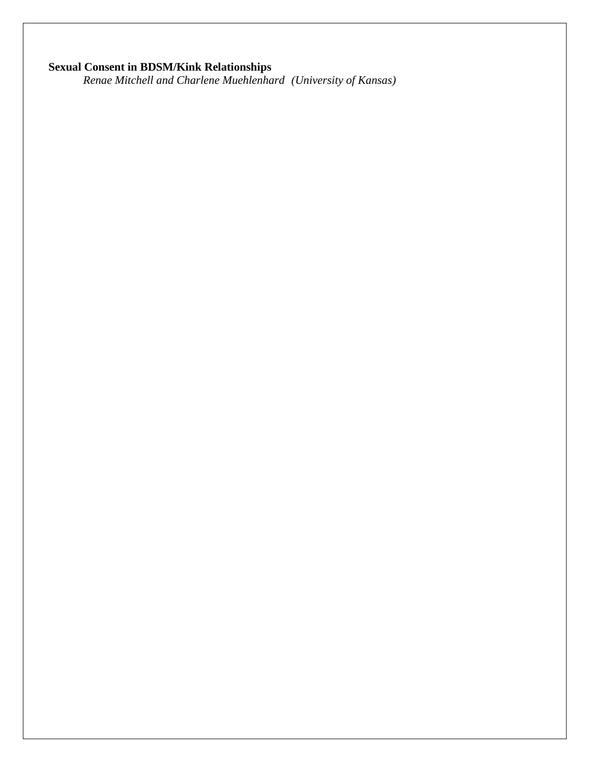#### **Sexual Consent in BDSM/Kink Relationships**

*Renae Mitchell and Charlene Muehlenhard (University of Kansas)*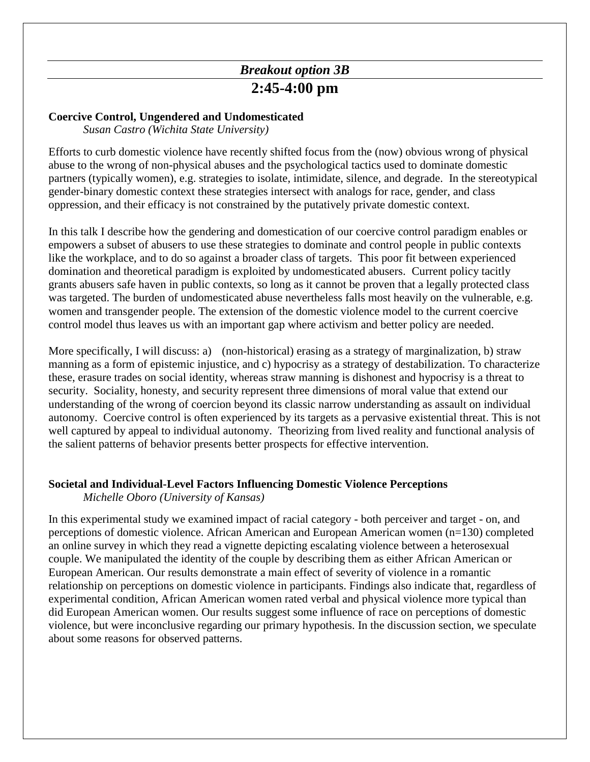## *Breakout option 3B* **2:45-4:00 pm**

#### **Coercive Control, Ungendered and Undomesticated**

*Susan Castro (Wichita State University)*

Efforts to curb domestic violence have recently shifted focus from the (now) obvious wrong of physical abuse to the wrong of non-physical abuses and the psychological tactics used to dominate domestic partners (typically women), e.g. strategies to isolate, intimidate, silence, and degrade. In the stereotypical gender-binary domestic context these strategies intersect with analogs for race, gender, and class oppression, and their efficacy is not constrained by the putatively private domestic context.

In this talk I describe how the gendering and domestication of our coercive control paradigm enables or empowers a subset of abusers to use these strategies to dominate and control people in public contexts like the workplace, and to do so against a broader class of targets. This poor fit between experienced domination and theoretical paradigm is exploited by undomesticated abusers. Current policy tacitly grants abusers safe haven in public contexts, so long as it cannot be proven that a legally protected class was targeted. The burden of undomesticated abuse nevertheless falls most heavily on the vulnerable, e.g. women and transgender people. The extension of the domestic violence model to the current coercive control model thus leaves us with an important gap where activism and better policy are needed.

More specifically, I will discuss: a) (non-historical) erasing as a strategy of marginalization, b) straw manning as a form of epistemic injustice, and c) hypocrisy as a strategy of destabilization. To characterize these, erasure trades on social identity, whereas straw manning is dishonest and hypocrisy is a threat to security. Sociality, honesty, and security represent three dimensions of moral value that extend our understanding of the wrong of coercion beyond its classic narrow understanding as assault on individual autonomy. Coercive control is often experienced by its targets as a pervasive existential threat. This is not well captured by appeal to individual autonomy. Theorizing from lived reality and functional analysis of the salient patterns of behavior presents better prospects for effective intervention.

#### **Societal and Individual-Level Factors Influencing Domestic Violence Perceptions**

*Michelle Oboro (University of Kansas)*

In this experimental study we examined impact of racial category - both perceiver and target - on, and perceptions of domestic violence. African American and European American women (n=130) completed an online survey in which they read a vignette depicting escalating violence between a heterosexual couple. We manipulated the identity of the couple by describing them as either African American or European American. Our results demonstrate a main effect of severity of violence in a romantic relationship on perceptions on domestic violence in participants. Findings also indicate that, regardless of experimental condition, African American women rated verbal and physical violence more typical than did European American women. Our results suggest some influence of race on perceptions of domestic violence, but were inconclusive regarding our primary hypothesis. In the discussion section, we speculate about some reasons for observed patterns.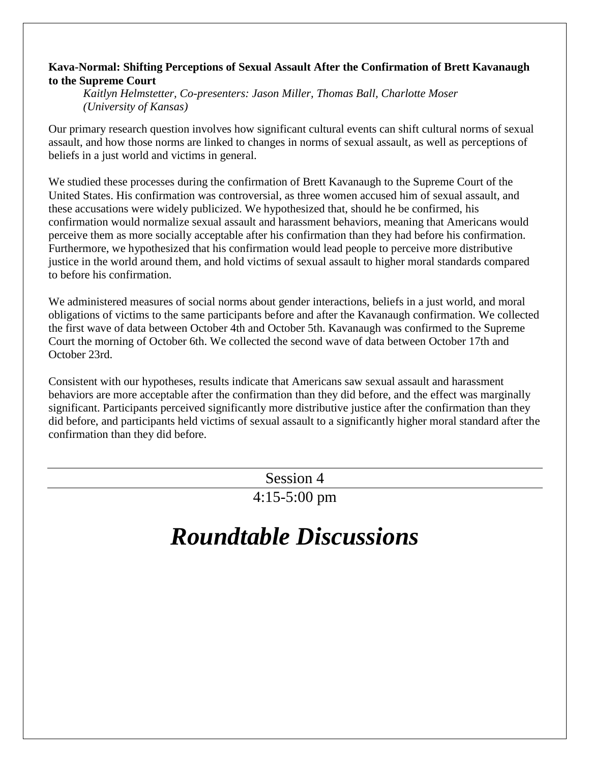#### **Kava-Normal: Shifting Perceptions of Sexual Assault After the Confirmation of Brett Kavanaugh to the Supreme Court**

*Kaitlyn Helmstetter, Co-presenters: Jason Miller, Thomas Ball, Charlotte Moser (University of Kansas)*

Our primary research question involves how significant cultural events can shift cultural norms of sexual assault, and how those norms are linked to changes in norms of sexual assault, as well as perceptions of beliefs in a just world and victims in general.

We studied these processes during the confirmation of Brett Kavanaugh to the Supreme Court of the United States. His confirmation was controversial, as three women accused him of sexual assault, and these accusations were widely publicized. We hypothesized that, should he be confirmed, his confirmation would normalize sexual assault and harassment behaviors, meaning that Americans would perceive them as more socially acceptable after his confirmation than they had before his confirmation. Furthermore, we hypothesized that his confirmation would lead people to perceive more distributive justice in the world around them, and hold victims of sexual assault to higher moral standards compared to before his confirmation.

We administered measures of social norms about gender interactions, beliefs in a just world, and moral obligations of victims to the same participants before and after the Kavanaugh confirmation. We collected the first wave of data between October 4th and October 5th. Kavanaugh was confirmed to the Supreme Court the morning of October 6th. We collected the second wave of data between October 17th and October 23rd.

Consistent with our hypotheses, results indicate that Americans saw sexual assault and harassment behaviors are more acceptable after the confirmation than they did before, and the effect was marginally significant. Participants perceived significantly more distributive justice after the confirmation than they did before, and participants held victims of sexual assault to a significantly higher moral standard after the confirmation than they did before.

Session 4

4:15-5:00 pm

## *Roundtable Discussions*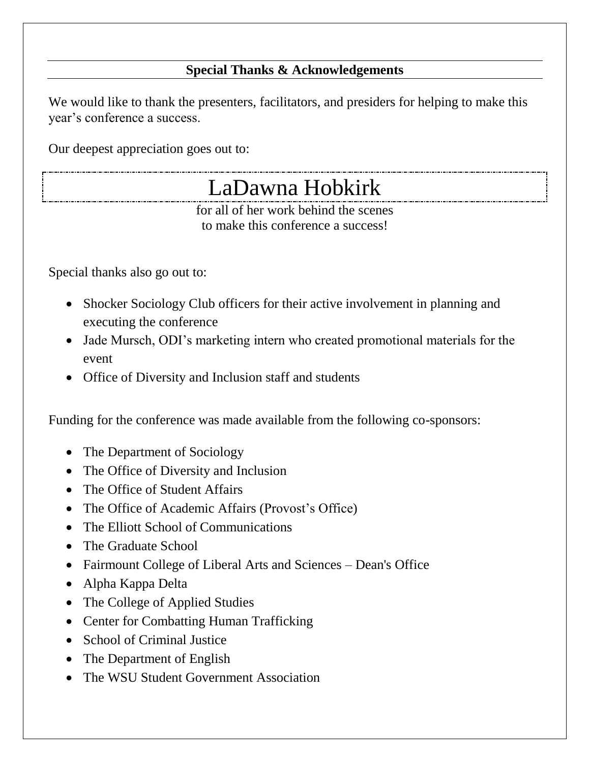### **Special Thanks & Acknowledgements**

We would like to thank the presenters, facilitators, and presiders for helping to make this year's conference a success.

Our deepest appreciation goes out to:

## LaDawna Hobkirk

for all of her work behind the scenes to make this conference a success!

Special thanks also go out to:

- Shocker Sociology Club officers for their active involvement in planning and executing the conference
- Jade Mursch, ODI's marketing intern who created promotional materials for the event
- Office of Diversity and Inclusion staff and students

Funding for the conference was made available from the following co-sponsors:

- The Department of Sociology
- The Office of Diversity and Inclusion
- The Office of Student Affairs
- The Office of Academic Affairs (Provost's Office)
- The Elliott School of Communications
- The Graduate School
- Fairmount College of Liberal Arts and Sciences Dean's Office
- Alpha Kappa Delta
- The College of Applied Studies
- Center for Combatting Human Trafficking
- School of Criminal Justice
- The Department of English
- The WSU Student Government Association